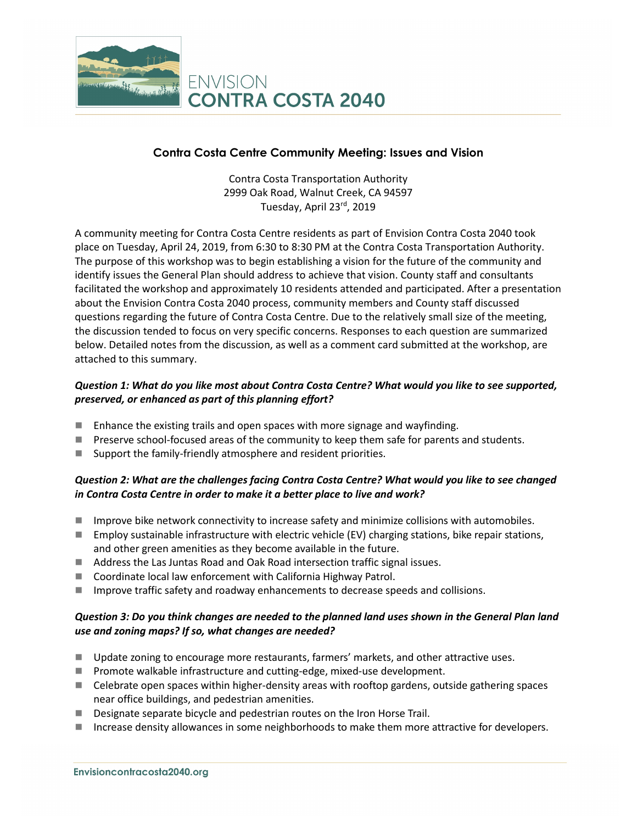

## **Contra Costa Centre Community Meeting: Issues and Vision**

Contra Costa Transportation Authority 2999 Oak Road, Walnut Creek, CA 94597 Tuesday, April 23rd, 2019

A community meeting for Contra Costa Centre residents as part of Envision Contra Costa 2040 took place on Tuesday, April 24, 2019, from 6:30 to 8:30 PM at the Contra Costa Transportation Authority. The purpose of this workshop was to begin establishing a vision for the future of the community and identify issues the General Plan should address to achieve that vision. County staff and consultants facilitated the workshop and approximately 10 residents attended and participated. After a presentation about the Envision Contra Costa 2040 process, community members and County staff discussed questions regarding the future of Contra Costa Centre. Due to the relatively small size of the meeting, the discussion tended to focus on very specific concerns. Responses to each question are summarized below. Detailed notes from the discussion, as well as a comment card submitted at the workshop, are attached to this summary.

## *Question 1: What do you like most about Contra Costa Centre? What would you like to see supported, preserved, or enhanced as part of this planning effort?*

- **E** Enhance the existing trails and open spaces with more signage and wayfinding.
- **Preserve school-focused areas of the community to keep them safe for parents and students.**
- Support the family-friendly atmosphere and resident priorities.

## *Question 2: What are the challenges facing Contra Costa Centre? What would you like to see changed in Contra Costa Centre in order to make it a better place to live and work?*

- $\blacksquare$  Improve bike network connectivity to increase safety and minimize collisions with automobiles.
- Employ sustainable infrastructure with electric vehicle (EV) charging stations, bike repair stations, and other green amenities as they become available in the future.
- Address the Las Juntas Road and Oak Road intersection traffic signal issues.
- Coordinate local law enforcement with California Highway Patrol.
- Improve traffic safety and roadway enhancements to decrease speeds and collisions.

#### *Question 3: Do you think changes are needed to the planned land uses shown in the General Plan land use and zoning maps? If so, what changes are needed?*

- **Update zoning to encourage more restaurants, farmers' markets, and other attractive uses.**
- **Promote walkable infrastructure and cutting-edge, mixed-use development.**
- Celebrate open spaces within higher-density areas with rooftop gardens, outside gathering spaces near office buildings, and pedestrian amenities.
- Designate separate bicycle and pedestrian routes on the Iron Horse Trail.
- Increase density allowances in some neighborhoods to make them more attractive for developers.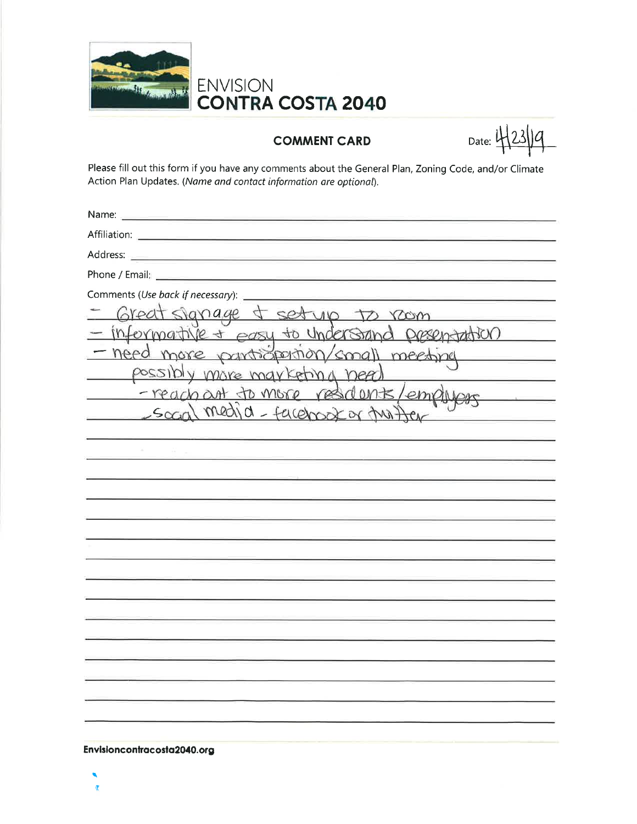

#### **COMMENT CARD**

 $_{\text{Date:}}$  4 23 1 9

Please fill out this form if you have any comments about the General Plan, Zoning Code, and/or Climate Action Plan Updates. (Name and contact information are optional).

| Comments (Use back if necessary):               |
|-------------------------------------------------|
| Great signage & setup to room                   |
| - informative + easy to understand presentation |
| - need more pantistornion/small meeting         |
| possibly more marketing need                    |
| -reachant to more residents/employe             |
| social media - facebook or the there            |
|                                                 |
|                                                 |
|                                                 |
|                                                 |
|                                                 |
|                                                 |
|                                                 |
|                                                 |
|                                                 |
|                                                 |
|                                                 |
|                                                 |
|                                                 |
|                                                 |
|                                                 |
|                                                 |

Envisioncontracosta2040.org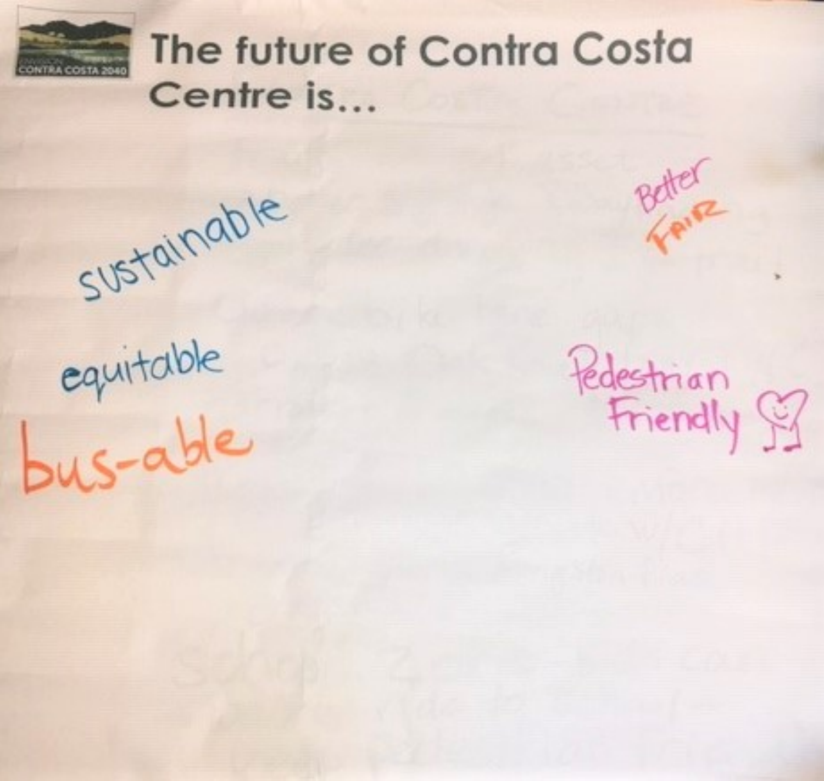

# The future of Contra Costa Centre is...

sustainable

equitable<br>bus-able

Pedestrian<br>Friendly 97

Better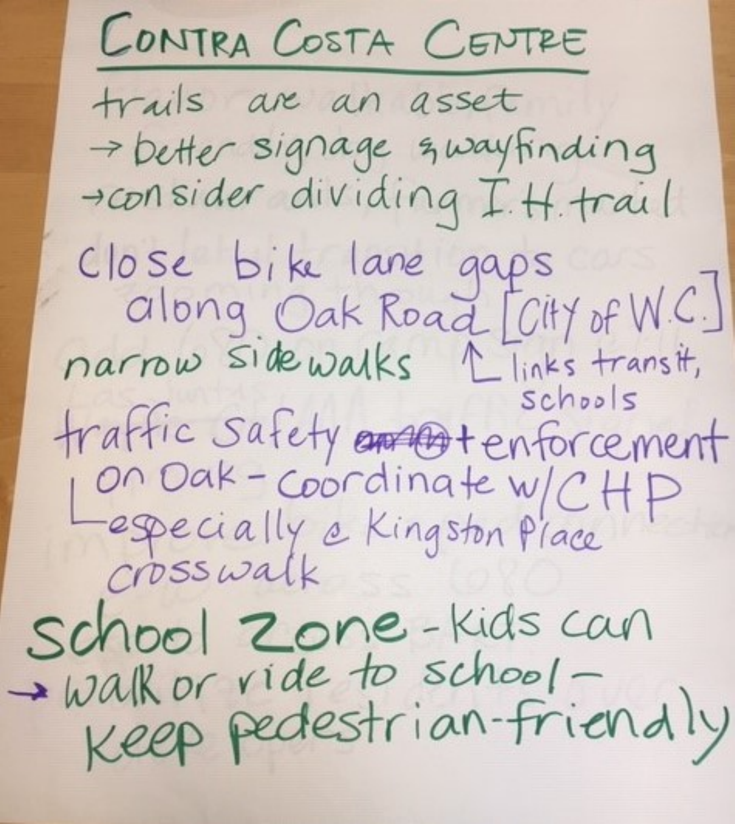CONTRA COSTA CENTRE trails are an asset -> Detter signage & way finding roonsider dividing I.H. trail Close bike lane gaps<br>Clong Oak Road [City of W.C.] narnow sidewalks Llinks transit, traffic safety annot enforcement<br>Con Dak - coordinate w/CHP<br>Crosswalk School Zone-Kidscan Walk or vide to school-<br>Keep pedestrian-friendly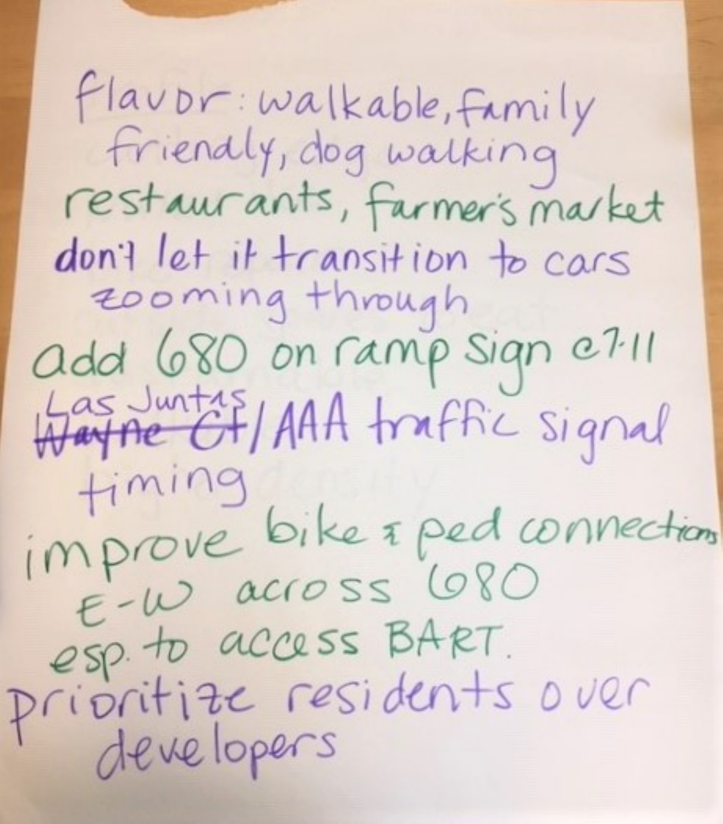flaubr: walkable, family Friendly, dog walking restaurants, farmer's market don't let it transition to cars add 680 on ramp sign e7.11 Hartne Of/AAA traffic signal timing improve bike & ped connections esp. to access BART. prioritize residents over developers